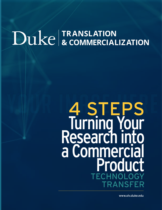# Duke & COMMERCIALIZATION

# 4 STEPS Turning Your Research into a Commercia Product TECHNOLOGY NSFF

www.olv.duke.edu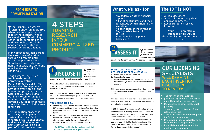## 4 STEPS TURNING RESEARCH INTO A COMMERCIALIZED PRODUCT

Tim Burners-Lee wasn't sitting under an apple tree when he came up with the idea of the internet. In fact, he spent years developing other ideas, scrapping them and developing more before nearly a decade later he realized where he'd landed.

Many great ideas come from the slow churn of working through a problem until a solution presents itself. Sometimes, you only have half the answer, and someone else has worked out the other half.

The innovation process is not always a simple linear series of actions. Each invention has its challenges, and your active input and participation will be a big part of its ultimate success.

Submitting<br>Syour idea to our office is the first step in the

That's where The Office **for Translation & commercialization (OTC)** comes in. Our office is dedicated to helping you navigate every step of the innovation process, starting with just your basic idea, outline, sketch, or unique research outcomes. We can develop your idea or connect you with others to help move it forward.

process of protecting and commercializing your idea.

Ownership of inventions depends upon the employment status of the creators of the invention and their use of University facilities.

You will need<br>Y to research your idea from a legal and business

In some countries we can lose the ability to protect your idea, so it's important that you get in touch with **OTC** before you publish and tell us about your novel concept.

#### **YOU CAN DO THIS BY:**

- 1. Submitting via our on-line Invention Disclosure Form or IDF (preferably, at least three months before disclosing your idea to the public). https://olv.duke.edu/disclosureform/
- 2. Get in touch with us—we welcome the opportunity to meet with you early in your research to discuss strategies for future development and commercialization. https://olv.duke.edu/contact/

**The IDF is a confidential, internal document that summarizes your idea and its potential usefulness**



- The novelty of the invention
- protectability and marketability of potential products or services
- Relationship to other intellectual property
- Size and growth potential of the relevant market
- Amount of time and money required for further development
- **Pre-existing rights associated with** the intellectual property (IP)
- Potential competition from other products/technologies

### **FROM IDEA TO COMMERCIALIZATION**

- Any federal or other financial support
- A list of contributors and their percentage contribution to the invention
- A description of the invention
- Any materials from third parties
- Your plans for any public disclosures

## What we'll ask for

• A legal document

• A part of the formal patent application process • Legal protection for your

invention

Your IDF is an official submission to **OTC** to document your invention with us.

## The IDF is NOT

standpoint. But don't worry, we've got you covered!

#### **IN THIS STEP, YOU AND YOUR OTC LICENSING SPECIALIST WILL:**

- 1. Review the invention disclosure
- 2. Conduct patent searches
- 3. Analyse the market and competitive technologies to determine your invention's commercialization potential

This helps us size up your competition. Everyone has competition—no matter how unique you think your invention is.

This assessment may also include consideration of whether the intellectual property can be the basis for a new business start-up.

If **OTC** decides not to pursue patent protection and/ or chooses not to actively market the invention, the University may transfer ownership to the inventor(s). Reassignment of inventions funded from U.S. government sources requires the government's prior approval. You will find further information on this topic in the Patent Policy at https://olv.duke.edu/ faculty-innovators/policiesprocess/



#### OUR LICENSING SPECIALISTS WILL EXAMINE EACH INVENTION **DISCLOSURE** TO REVIEW: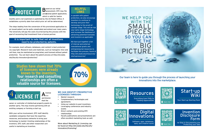**HELPFUL LINKS**

In parallel with patent

protection, we also encourage

inventors to continue to develop and grow their technology to the proof-ofconcept stage. This will de-risk your early-stage technology and increase the likelihood of attracting potential licensees and investors as applicable.

We have put together a list of internal and external translational grants and entrepreneurial resources to facilitate this process, found at http://olv.duke.edu/resources/

startupresources/

Based on our initial assessment, **OTC** may file provisional patent application, which is valid for twelve

months and is not examined or published by the US Patent Office. It establishes a priority date from which prior art will be determined.

> $A<sub>is a</sub>$ permission that the

The steps leading from the conversion of this provisional application to an issued patent can be quite complicated and extend over many years. The University will pay the costs incurred during this process with the goal of recovering that investment from a license partner.

#### **It is important to note that not all inventions need to be protected by patents.**

For example, most software, databases, and content is best protected via copyright. Research tools and materials, such as transgenic mice and cell lines, may be maintained as proprietary and licensed without patent protection. You can learn about the patent process at http://olv.duke. edu/faculty-innovators/protection/

> Your Start-up Starting Point Start-up





owner or controller of intellectual property grants to another party. This may involve partnering with an existing company or forming a start-up.

With your active involvement, **OTC** staff identify candidate companies that have the expertise, resources, and business networks to bring your technology to market. Existing relationships of the inventors, **OTC** staff, and other researchers are useful in marketing an invention.



#### **WE CAN IDENTIFY PROSPECTIVE LICENSEES THROUGH:**

- Market research
- Complementary technologies and agreements
- Using our website to post inventions
- Leveraging conferences and industry events
- Direct contacts and existing **OTC** relationships
- Faculty publications and presentations are often excellent marketing tools as well.

More about Marketing & Licensing can be found at http://olv.duke.edu/facultyinnovators/licensing/

**Studies have shown that 70% of licensees were already known to the inventors. Your research and consulting relationships are often a valuable source for licensees.**







**Resources** 

Our team is here to guide you through the process of launching your innovations into the marketplace.



Everything from FAQs to Funding Opporunities



Software, apps, databases, data, and creative works

Digital Innovations

Scan me



1st Step in Documenting and Protecting your Idea

Invention **Disclosure** Form